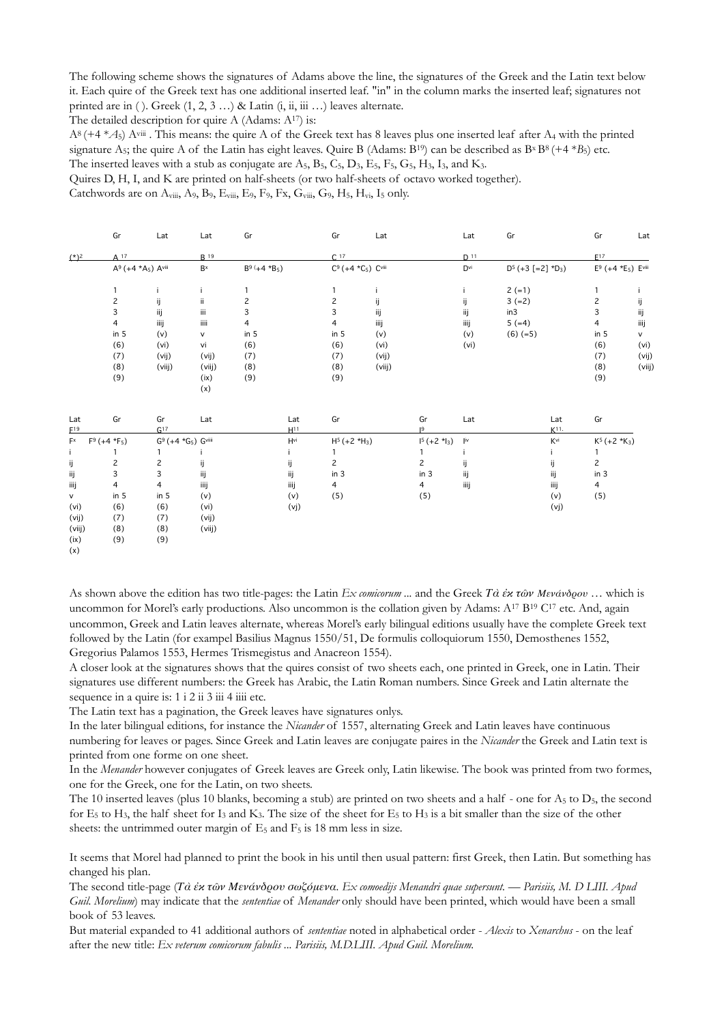The following scheme shows the signatures of Adams above the line, the signatures of the Greek and the Latin text below it. Each quire of the Greek text has one additional inserted leaf. "in" in the column marks the inserted leaf; signatures not printed are in ( ). Greek  $(1, 2, 3, \ldots)$  & Latin  $(i, ii, iii, \ldots)$  leaves alternate.

The detailed description for quire A (Adams: A<sup>17</sup>) is:

 $A^8$  (+4  $*$  $A_5$ ) A<sup>viii</sup>. This means: the quire A of the Greek text has 8 leaves plus one inserted leaf after A<sub>4</sub> with the printed signature A<sub>5</sub>; the quire A of the Latin has eight leaves. Quire B (Adams: B<sup>19</sup>) can be described as B<sup>x</sup> B<sup>8</sup> (+4 \**B*<sub>5</sub>) etc. The inserted leaves with a stub as conjugate are  $A_5$ ,  $B_5$ ,  $C_5$ ,  $D_3$ ,  $E_5$ ,  $F_5$ ,  $G_5$ ,  $H_3$ ,  $I_3$ , and  $K_3$ .

Quires D, H, I, and K are printed on half-sheets (or two half-sheets of octavo worked together).

Catchwords are on  $A_{viii}$ ,  $A_9$ ,  $B_9$ ,  $E_{viii}$ ,  $E_9$ ,  $F_9$ ,  $Fx$ ,  $G_{viii}$ ,  $G_9$ ,  $H_5$ ,  $H_{vi}$ ,  $I_5$  only.

|                         | Gr                                         | Lat             | Lat                                         | Gr              |      | Gr                       | Lat    |                | Lat             | Gr                   |                   | Gr                                | Lat          |
|-------------------------|--------------------------------------------|-----------------|---------------------------------------------|-----------------|------|--------------------------|--------|----------------|-----------------|----------------------|-------------------|-----------------------------------|--------------|
| $(*)^2$                 | A 17                                       |                 | <b>B</b> 19                                 |                 |      | C.17                     |        |                | D <sup>11</sup> |                      |                   | E <sub>17</sub>                   |              |
|                         | A <sup>9</sup> (+4 *A <sub>5</sub> ) Aviii |                 | $B^x$                                       | $B9 (+4 *B5)$   |      | $C^9$ (+4 $*C_5$ ) Cviii |        |                | $D^{vi}$        | $D^5 (+3 [-2] *D_3)$ |                   | $E^9$ (+4 *E <sub>5</sub> ) Evili |              |
|                         | 1                                          | I.              | Ť.                                          | 1               |      | $\mathbf{1}$             |        |                | j.              | $2 (=1)$             |                   | $\mathbf{1}$                      | $\mathbf{I}$ |
|                         | $\mathsf{S}$                               | ij              | ii.                                         | $\overline{c}$  |      | $\overline{c}$           | ij     |                | ij              | $3 (=2)$             |                   | $\overline{c}$                    | ij           |
|                         | 3                                          | ij              | iii                                         | 3               |      | 3                        | ij     |                | ij              | in3                  |                   | 3                                 | ij           |
|                         | 4                                          | iiij            | iiii                                        | 4               |      | 4                        | iiij   |                | iiij            | $5 (=4)$             |                   | 4                                 | iiij         |
|                         | in $5$                                     | (v)             | V                                           | in $5$          |      | in 5                     | (v)    |                | (v)             | $(6)$ (=5)           |                   | in $5$                            | v            |
|                         | (6)                                        | (vi)            | vi                                          | (6)             |      | (6)                      | (vi)   |                | (vi)            |                      |                   | (6)                               | (vi)         |
|                         | (7)                                        | (vij)           | (vij)                                       | (7)             |      | (7)                      | (vij)  |                |                 |                      |                   | (7)                               | (vij)        |
|                         | (8)                                        | (viij)          | (viij)                                      | (8)             |      | (8)                      | (viij) |                |                 |                      |                   | (8)                               | (vii)        |
|                         | (9)                                        |                 | (ix)                                        | (9)             |      | (9)                      |        |                |                 |                      |                   | (9)                               |              |
|                         |                                            |                 | (x)                                         |                 |      |                          |        |                |                 |                      |                   |                                   |              |
| Lat                     | Gr                                         | Gr              | Lat                                         |                 | Lat  | Gr                       |        | Gr             | Lat             |                      | Lat               | Gr                                |              |
| $E^{19}$                |                                            | G <sup>17</sup> |                                             | H <sup>11</sup> |      |                          |        | 19             |                 |                      | K <sub>11</sub> . |                                   |              |
| $\mathsf{F}^\mathsf{x}$ | $F9 (+4 *F5)$                              |                 | G <sup>9</sup> (+4 *G <sub>5</sub> ) Gviiii | $H^{vi}$        |      | $H5 (+2*H3)$             |        |                | jiv             |                      | Kvi               | $K^5 (+2 *K_3)$                   |              |
| i.                      | 1                                          |                 |                                             |                 |      | 1                        |        |                | л               |                      |                   | 1                                 |              |
| ij                      | $\overline{c}$                             | $\overline{c}$  | ij                                          | ij              |      | $\overline{c}$           |        | $\overline{c}$ | ij              |                      | ij                | $\mathbf{2}$                      |              |
| ij                      | 3                                          | 3               | ij                                          | ij              |      | in $3$                   |        | in 3           | ij              |                      | ij                | in $3$                            |              |
| iiij                    | 4                                          | 4               | iiij                                        | iiij            |      | 4                        |        | $\overline{4}$ | iiij            |                      | iiij              | $\overline{4}$                    |              |
| ${\sf V}$               | in $5$                                     | in $5$          | (v)                                         | (v)             |      | (5)                      |        | (5)            |                 |                      | (v)               | (5)                               |              |
| (vi)                    | (6)                                        | (6)             | (vi)                                        |                 | (vj) |                          |        |                |                 |                      | (vj)              |                                   |              |
| (vij)                   | (7)                                        | (7)             | (vij)                                       |                 |      |                          |        |                |                 |                      |                   |                                   |              |
| (viij)                  | (8)                                        | (8)             | (viij)                                      |                 |      |                          |        |                |                 |                      |                   |                                   |              |
| (ix)                    | (9)                                        | (9)             |                                             |                 |      |                          |        |                |                 |                      |                   |                                   |              |
| (x)                     |                                            |                 |                                             |                 |      |                          |        |                |                 |                      |                   |                                   |              |

As shown above the edition has two title-pages: the Latin *Ex comicorum ...* and the Greek *Τὰ ἐκ τῶν Μενάνδρου* … which is uncommon for Morel's early productions. Also uncommon is the collation given by Adams: A<sup>17</sup> B<sup>19</sup> C<sup>17</sup> etc. And, again uncommon, Greek and Latin leaves alternate, whereas Morel's early bilingual editions usually have the complete Greek text followed by the Latin (for exampel Basilius Magnus 1550/51, De formulis colloquiorum 1550, Demosthenes 1552, Gregorius Palamos 1553, Hermes Trismegistus and Anacreon 1554).

A closer look at the signatures shows that the quires consist of two sheets each, one printed in Greek, one in Latin. Their signatures use different numbers: the Greek has Arabic, the Latin Roman numbers. Since Greek and Latin alternate the sequence in a quire is: 1 i 2 ii 3 iii 4 iiii etc.

The Latin text has a pagination, the Greek leaves have signatures onlys.

In the later bilingual editions, for instance the *Nicander* of 1557, alternating Greek and Latin leaves have continuous numbering for leaves or pages. Since Greek and Latin leaves are conjugate paires in the *Nicander* the Greek and Latin text is printed from one forme on one sheet.

In the *Menander* however conjugates of Greek leaves are Greek only, Latin likewise. The book was printed from two formes, one for the Greek, one for the Latin, on two sheets.

The 10 inserted leaves (plus 10 blanks, becoming a stub) are printed on two sheets and a half - one for  $A_5$  to  $D_5$ , the second for  $E_5$  to  $H_3$ , the half sheet for  $I_3$  and  $K_3$ . The size of the sheet for  $E_5$  to  $H_3$  is a bit smaller than the size of the other sheets: the untrimmed outer margin of  $E_5$  and  $F_5$  is 18 mm less in size.

It seems that Morel had planned to print the book in his until then usual pattern: first Greek, then Latin. But something has changed his plan.

The second title-page (*Τὰ ἐκ τῶν Μενάνδρου σωζόμενα. Ex comoedijs Menandri quae supersunt. — Parisiis, M. D LIII. Apud Guil. Morelium*) may indicate that the *sententiae* of *Menander* only should have been printed, which would have been a small book of 53 leaves.

But material expanded to 41 additional authors of *sententiae* noted in alphabetical order - *Alexis* to *Xenarchus* - on the leaf after the new title: *Ex veterum comicorum fabulis ... Parisiis, M.D.LIII. Apud Guil. Morelium.*